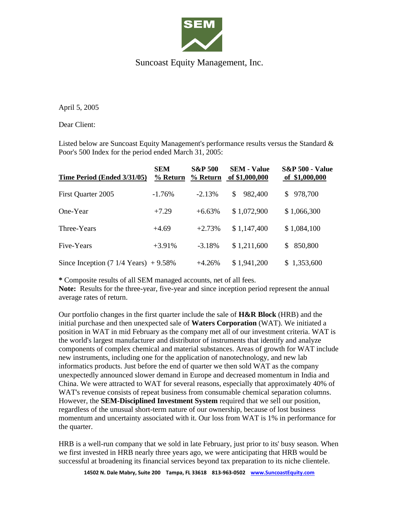

## Suncoast Equity Management, Inc.

April 5, 2005

Dear Client:

Listed below are Suncoast Equity Management's performance results versus the Standard  $\&$ Poor's 500 Index for the period ended March 31, 2005:

| Time Period (Ended 3/31/05)                              | <b>SEM</b><br>% Return | <b>S&amp;P 500</b><br>% Return | <b>SEM - Value</b><br>of \$1,000,000 | <b>S&amp;P 500 - Value</b><br>of \$1,000,000 |
|----------------------------------------------------------|------------------------|--------------------------------|--------------------------------------|----------------------------------------------|
| First Quarter 2005                                       | $-1.76\%$              | $-2.13%$                       | 982,400<br>\$                        | 978,700<br>S.                                |
| One-Year                                                 | $+7.29$                | $+6.63%$                       | \$1,072,900                          | \$1,066,300                                  |
| Three-Years                                              | $+4.69$                | $+2.73%$                       | \$1,147,400                          | \$1,084,100                                  |
| Five-Years                                               | $+3.91%$               | $-3.18%$                       | \$1,211,600                          | 850,800<br>S.                                |
| Since Inception $(7 \frac{1}{4} \text{ Years}) + 9.58\%$ |                        | $+4.26%$                       | \$1,941,200                          | \$1,353,600                                  |

**\*** Composite results of all SEM managed accounts, net of all fees.

Note: Results for the three-year, five-year and since inception period represent the annual average rates of return.

Our portfolio changes in the first quarter include the sale of **H&R Block** (HRB) and the initial purchase and then unexpected sale of **Waters Corporation** (WAT). We initiated a position in WAT in mid February as the company met all of our investment criteria. WAT is the world's largest manufacturer and distributor of instruments that identify and analyze components of complex chemical and material substances. Areas of growth for WAT include new instruments, including one for the application of nanotechnology, and new lab informatics products. Just before the end of quarter we then sold WAT as the company unexpectedly announced slower demand in Europe and decreased momentum in India and China. We were attracted to WAT for several reasons, especially that approximately 40% of WAT's revenue consists of repeat business from consumable chemical separation columns. However, the **SEM-Disciplined Investment System** required that we sell our position, regardless of the unusual short-term nature of our ownership, because of lost business momentum and uncertainty associated with it. Our loss from WAT is 1% in performance for the quarter.

HRB is a well-run company that we sold in late February, just prior to its' busy season. When we first invested in HRB nearly three years ago, we were anticipating that HRB would be successful at broadening its financial services beyond tax preparation to its niche clientele.